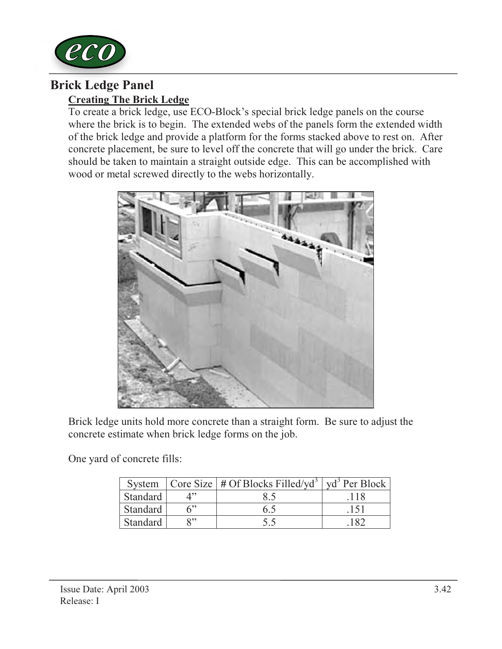

## Creating The Brick Ledge Brick Ledge Panel

To create a brick ledge, use ECO-Block's special brick ledge panels on the course where the brick is to begin. The extended webs of the panels form the extended width of the brick ledge and provide a platform for the forms stacked above to rest on. After concrete placement, be sure to level off the concrete that will go under the brick. Care should be taken to maintain a straight outside edge. This can be accomplished with wood or metal screwed directly to the webs horizontally.



Brick ledge units hold more concrete than a straight form. Be sure to adjust the concrete estimate when brick ledge forms on the job.

One yard of concrete fills:

|          |              | System $\vert$ Core Size $\vert$ # Of Blocks Filled/yd <sup>3</sup> $\vert$ yd <sup>3</sup> Per Block $\vert$ |  |
|----------|--------------|---------------------------------------------------------------------------------------------------------------|--|
| Standard |              |                                                                                                               |  |
| Standard | 6            | 6.5                                                                                                           |  |
| Standard | $\mathbf{Q}$ |                                                                                                               |  |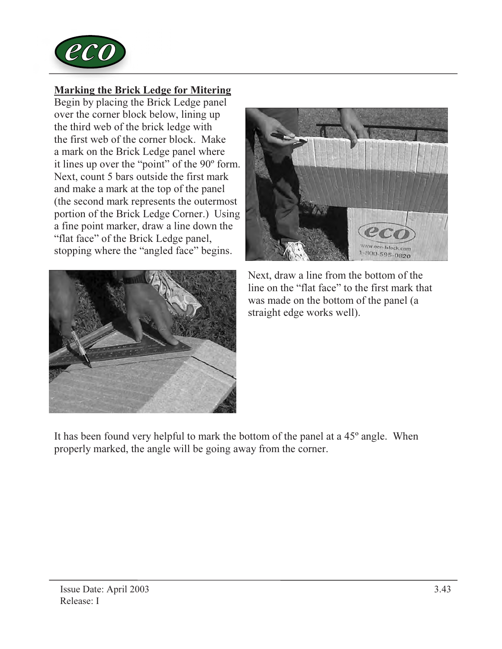

## Marking the Brick Ledge for Mitering

Begin by placing the Brick Ledge panel over the corner block below, lining up the third web of the brick ledge with the first web of the corner block. Make a mark on the Brick Ledge panel where it lines up over the "point" of the 90º form. Next, count 5 bars outside the first mark and make a mark at the top of the panel (the second mark represents the outermost portion of the Brick Ledge Corner.) Using a fine point marker, draw a line down the "flat face" of the Brick Ledge panel, stopping where the "angled face" begins.





Next, draw a line from the bottom of the line on the "flat face" to the first mark that was made on the bottom of the panel (a straight edge works well).

It has been found very helpful to mark the bottom of the panel at a 45º angle. When properly marked, the angle will be going away from the corner.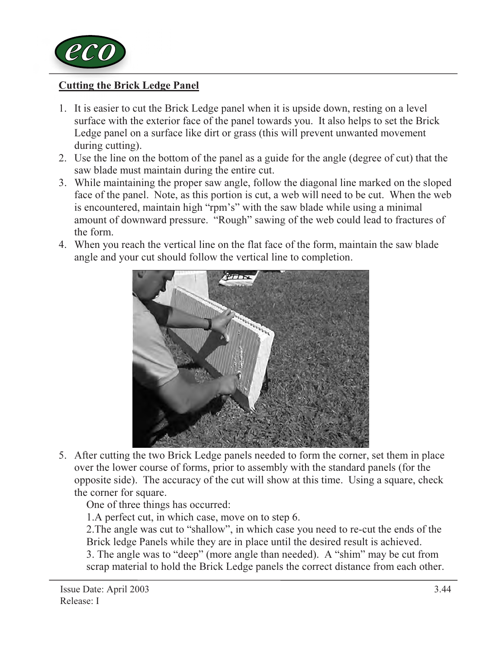

## Cutting the Brick Ledge Panel

- 1. It is easier to cut the Brick Ledge panel when it is upside down, resting on a level surface with the exterior face of the panel towards you. It also helps to set the Brick Ledge panel on a surface like dirt or grass (this will prevent unwanted movement during cutting).
- 2. Use the line on the bottom of the panel as a guide for the angle (degree of cut) that the saw blade must maintain during the entire cut.
- 3. While maintaining the proper saw angle, follow the diagonal line marked on the sloped face of the panel. Note, as this portion is cut, a web will need to be cut. When the web is encountered, maintain high "rpm's" with the saw blade while using a minimal amount of downward pressure. "Rough" sawing of the web could lead to fractures of the form.
- 4. When you reach the vertical line on the flat face of the form, maintain the saw blade angle and your cut should follow the vertical line to completion.



5. After cutting the two Brick Ledge panels needed to form the corner, set them in place over the lower course of forms, prior to assembly with the standard panels (for the opposite side). The accuracy of the cut will show at this time. Using a square, check the corner for square.

One of three things has occurred:

1.A perfect cut, in which case, move on to step 6.

2.The angle was cut to "shallow", in which case you need to re-cut the ends of the Brick ledge Panels while they are in place until the desired result is achieved. 3. The angle was to "deep" (more angle than needed). A "shim" may be cut from scrap material to hold the Brick Ledge panels the correct distance from each other.